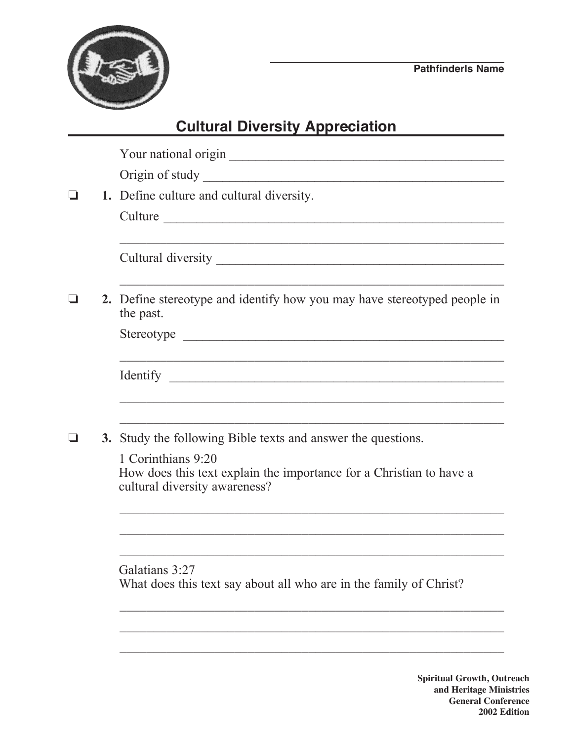

## **Cultural Diversity Appreciation**

|  | Your national origin                                                                                                       |
|--|----------------------------------------------------------------------------------------------------------------------------|
|  |                                                                                                                            |
|  | 1. Define culture and cultural diversity.                                                                                  |
|  |                                                                                                                            |
|  |                                                                                                                            |
|  | 2. Define stereotype and identify how you may have stereotyped people in<br>the past.                                      |
|  |                                                                                                                            |
|  | ,我们也不能在这里的时候,我们也不能在这里的时候,我们也不能会在这里的时候,我们也不能会在这里的时候,我们也不能会在这里的时候,我们也不能会在这里的时候,我们也                                           |
|  | 3. Study the following Bible texts and answer the questions.                                                               |
|  | 1 Corinthians 9:20<br>How does this text explain the importance for a Christian to have a<br>cultural diversity awareness? |
|  |                                                                                                                            |
|  | Galatians 3:27<br>What does this text say about all who are in the family of Christ?                                       |
|  |                                                                                                                            |
|  | <b>Spiritual Growth, Out</b><br>and Heritage Mini                                                                          |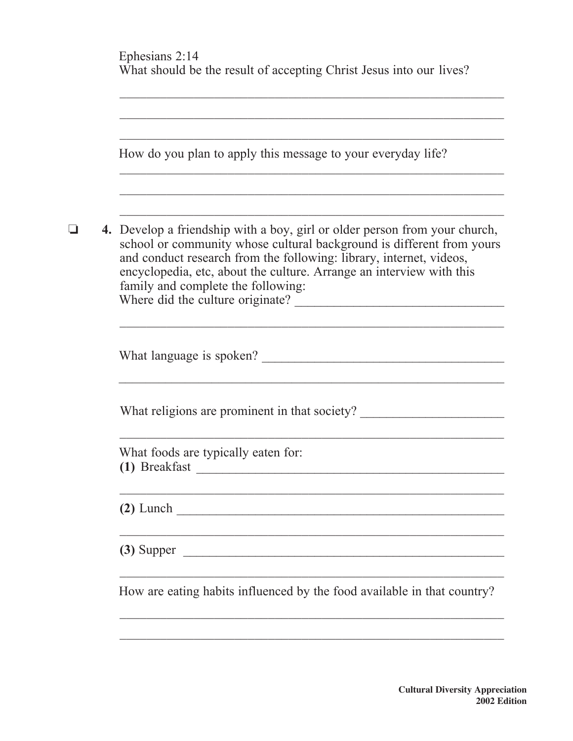|  | Ephesians 2:14<br>What should be the result of accepting Christ Jesus into our lives?                                                                                                                                                                                                                                                                                        |
|--|------------------------------------------------------------------------------------------------------------------------------------------------------------------------------------------------------------------------------------------------------------------------------------------------------------------------------------------------------------------------------|
|  | How do you plan to apply this message to your everyday life?                                                                                                                                                                                                                                                                                                                 |
|  | 4. Develop a friendship with a boy, girl or older person from your church,<br>school or community whose cultural background is different from yours<br>and conduct research from the following: library, internet, videos,<br>encyclopedia, etc, about the culture. Arrange an interview with this<br>family and complete the following:<br>Where did the culture originate? |
|  |                                                                                                                                                                                                                                                                                                                                                                              |
|  | What religions are prominent in that society?                                                                                                                                                                                                                                                                                                                                |
|  | What foods are typically eaten for:<br>(1) Breakfast<br><u> 1980 - Jan Barnett, fransk politik (d. 1980)</u>                                                                                                                                                                                                                                                                 |
|  |                                                                                                                                                                                                                                                                                                                                                                              |
|  | $\overline{3}$ Supper                                                                                                                                                                                                                                                                                                                                                        |
|  | How are eating habits influenced by the food available in that country?                                                                                                                                                                                                                                                                                                      |
|  |                                                                                                                                                                                                                                                                                                                                                                              |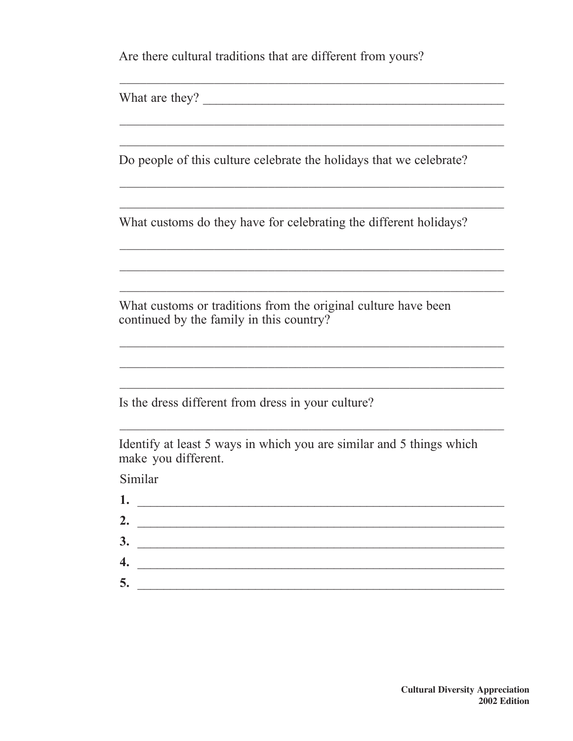Are there cultural traditions that are different from yours?

Do people of this culture celebrate the holidays that we celebrate?

<u> 1989 - Johann Harry Harry Harry Harry Harry Harry Harry Harry Harry Harry Harry Harry Harry Harry Harry Harry</u>

What customs do they have for celebrating the different holidays?

What customs or traditions from the original culture have been continued by the family in this country?

Is the dress different from dress in your culture?

Identify at least 5 ways in which you are similar and 5 things which make you different.

Similar

| 1. | the control of the control of the control of the control of the control of the control of |
|----|-------------------------------------------------------------------------------------------|
| 2. |                                                                                           |
| 3. |                                                                                           |
| 4. |                                                                                           |
| 5. |                                                                                           |
|    |                                                                                           |